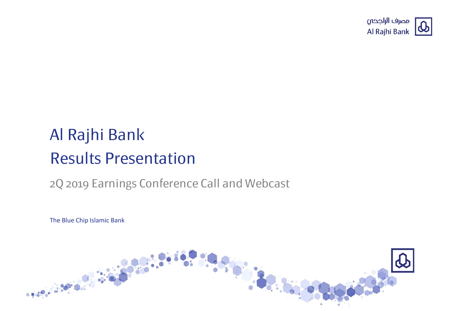

# Al Rajhi Bank Results Presentation

## 2Q 2019 Earnings Conference Call and Webcast

The Blue Chip Islamic Bank

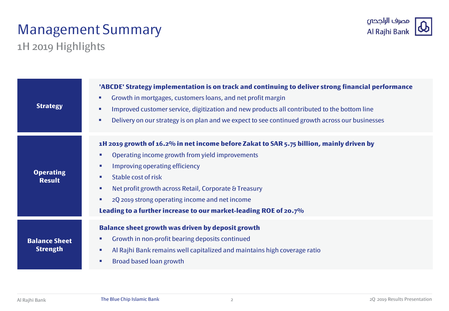# Management Summary



1H 2019 Highlights

| <b>Strategy</b>                         | 'ABCDE' Strategy implementation is on track and continuing to deliver strong financial performance<br>Growth in mortgages, customers loans, and net profit margin<br>$\mathcal{L}_{\mathcal{A}}$<br>Improved customer service, digitization and new products all contributed to the bottom line<br>$\mathcal{L}_{\mathcal{A}}$<br>Delivery on our strategy is on plan and we expect to see continued growth across our businesses<br>$\mathcal{L}_{\mathcal{A}}$                       |
|-----------------------------------------|----------------------------------------------------------------------------------------------------------------------------------------------------------------------------------------------------------------------------------------------------------------------------------------------------------------------------------------------------------------------------------------------------------------------------------------------------------------------------------------|
| <b>Operating</b><br><b>Result</b>       | 1H 2019 growth of 16.2% in net income before Zakat to SAR 5.75 billion, mainly driven by<br>Operating income growth from yield improvements<br><b>College</b><br>Improving operating efficiency<br>$\mathcal{L}_{\mathcal{A}}$<br>Stable cost of risk<br>$\mathcal{L}_{\mathcal{A}}$<br>Net profit growth across Retail, Corporate & Treasury<br>×<br>2Q 2019 strong operating income and net income<br><b>COL</b><br>Leading to a further increase to our market-leading ROE of 20.7% |
| <b>Balance Sheet</b><br><b>Strength</b> | <b>Balance sheet growth was driven by deposit growth</b><br>Growth in non-profit bearing deposits continued<br>$\blacksquare$<br>Al Rajhi Bank remains well capitalized and maintains high coverage ratio<br>×<br>Broad based loan growth<br><b>Co</b>                                                                                                                                                                                                                                 |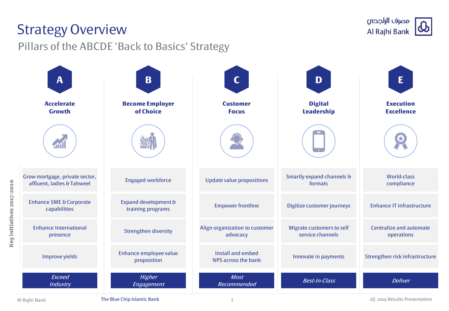# Strategy Overview

Pillars of the ABCDE 'Back to Basics' Strategy



**Key initiatives 2017-2020**

Key initiatives 2017-2020

Al Rajhi Bank **The Blue Chip Islamic Bank** 2Q 2019 Results Presentation and The Blue Chip Islamic Bank 2Q 2019 Results Presentation

مصرف الراجحى Al Rajhi Bank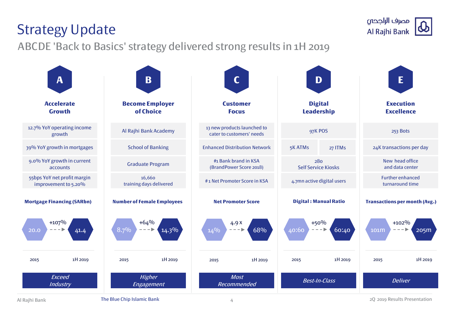Al Rajhi Bank **The Blue Chip Islamic Bank** 2Q 2019 Results Presentation and the Blue Chip Islamic Bank 2Q 2019 Results Presentation





4

# Strategy Update

ABCDE 'Back to Basics' strategy delivered strong results in 1H 2019

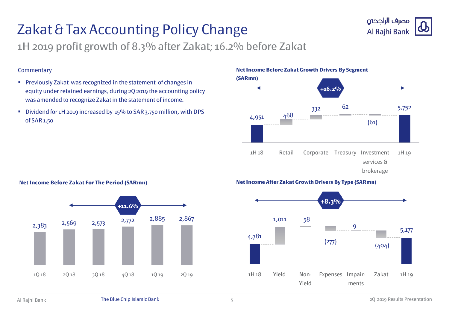# Zakat & Tax Accounting Policy Change



1H 2019 profit growth of 8.3% after Zakat; 16.2% before Zakat

### **Commentary**

- **Previously Zakat was recognized in the statement of changes in** equity under retained earnings, during 2Q 2019 the accounting policy was amended to recognize Zakat in the statement of income.
- Dividend for 1H 2019 increased by 15% to SAR 3,750 million, with DPS of SAR 1.50

**Net Income Before Zakat Growth Drivers By Segment** 



### **Net Income After Zakat Growth Drivers By Type (SARmn)**



### **Net Income Before Zakat For The Period (SARmn)**

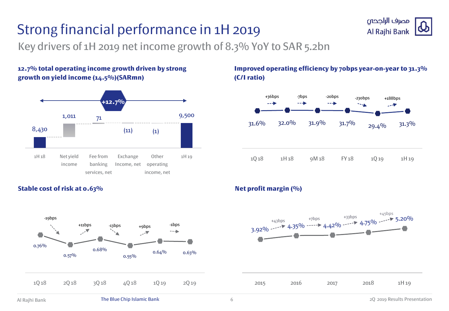# Strong financial performance in 1H 2019



## **12.7% total operating income growth driven by strong growth on yield income (14.5%)(SARmn)**



## **Improved operating efficiency by 70bps year-on-year to 31.3% (C/I ratio)**

مصرف الراجحى Al Rajhi Bank





## **Stable cost of risk at 0.63% Net profit margin (%) Net profit margin (%)**

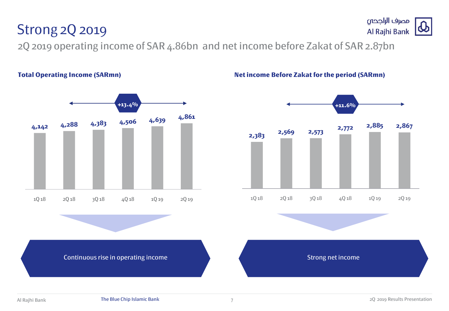# Strong 2Q 2019

2Q 2019 operating income of SAR 4.86bn and net income before Zakat of SAR 2.87bn



### **Total Operating Income (SARmn) Net income Before Zakat for the period (SARmn)**



Continuous rise in operating income Strong net income Strong net income

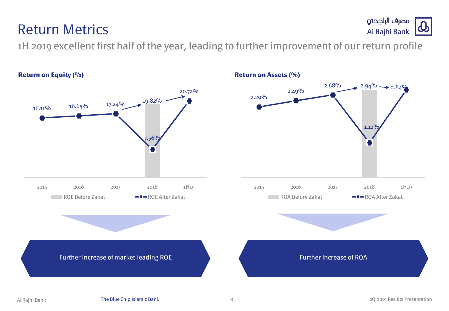## **Return on Equity (%) Return on Assets (%)**



1H 2019 excellent first half of the year, leading to further improvement of our return profile

## Return Metrics

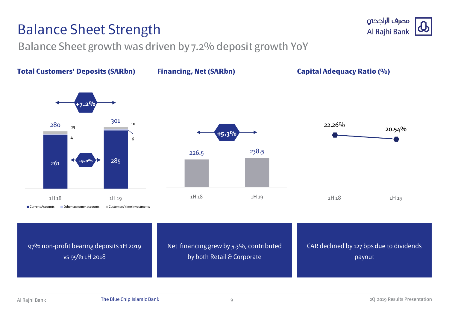# Balance Sheet Strength

Balance Sheet growth was driven by 7.2% deposit growth YoY



مصرف الراجحى Al Rajhi Bank

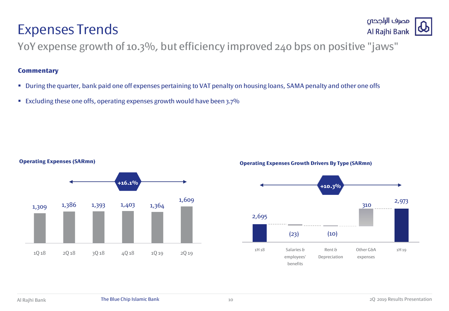## **Operating Expenses (SARmn)**



## **Operating Expenses Growth Drivers By Type (SARmn)**





YoY expense growth of 10.3%, but efficiency improved 240 bps on positive "jaws"

## **Commentary**

Expenses Trends

- During the quarter, bank paid one off expenses pertaining to VAT penalty on housing loans, SAMA penalty and other one offs
- Excluding these one offs, operating expenses growth would have been  $3.7\%$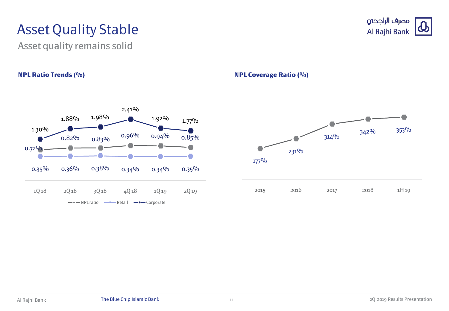# Asset Quality Stable

Asset quality remains solid



## **NPL Ratio Trends (%) NPL Coverage Ratio (%)**



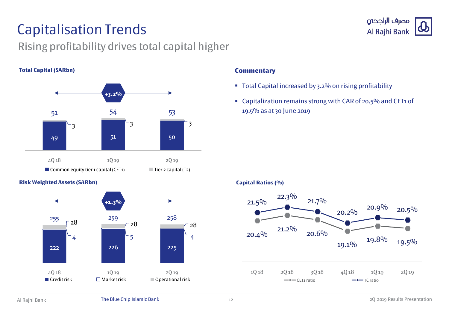# Capitalisation Trends

## Rising profitability drives total capital higher

## **Total Capital (SARbn)**



## **Risk Weighted Assets (SARbn)**



## **Commentary**

- Total Capital increased by 3.2% on rising profitability
- Capitalization remains strong with CAR of 20.5% and CET1 of 19.5% as at 30 June 2019

### **Capital Ratios (%)**



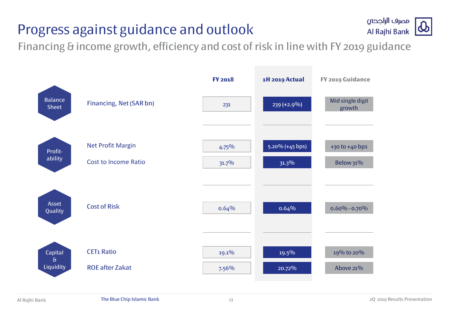# Progress against guidance and outlook



Financing & income growth, efficiency and cost of risk in line with FY 2019 guidance

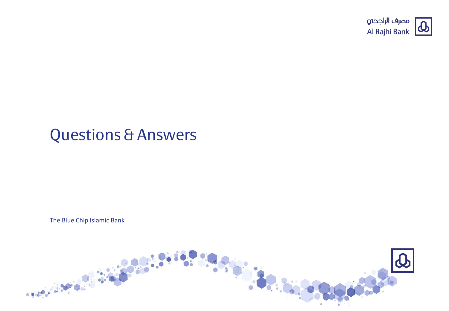

# Questions & Answers

The Blue Chip Islamic Bank

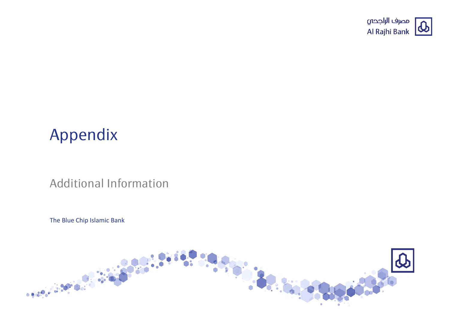

# Appendix

## Additional Information

The Blue Chip Islamic Bank

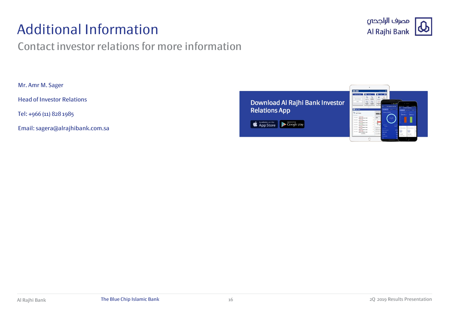# Additional Information

## Contact investor relations for more information



Mr. Amr M. Sager

Head of Investor Relations

Tel: +966 (11) 828 1985

Email: sagera@alrajhibank.com.sa

Download Al Rajhi Bank Investor **Relations App** 

App Store Coogle play